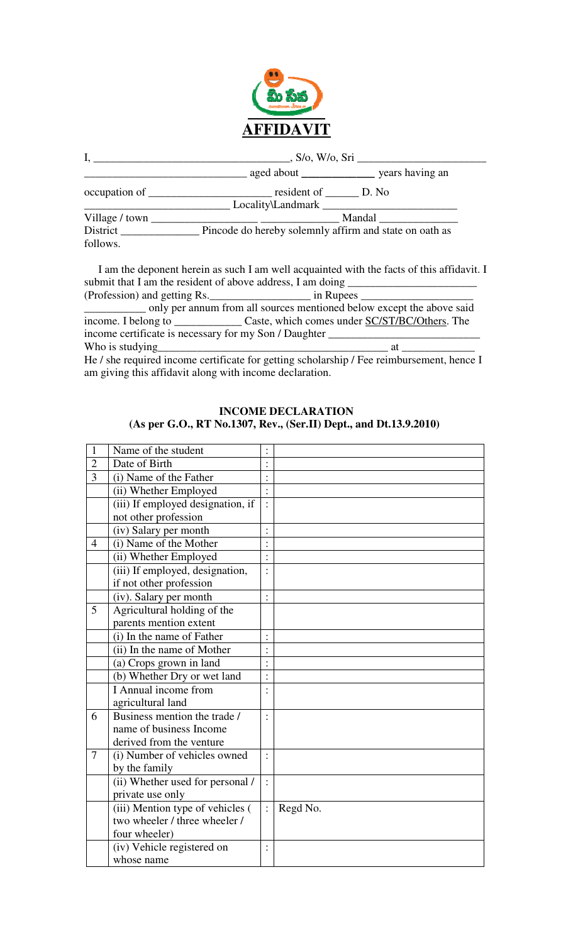

|                      | S/O, W/O, Sri                                                                                                                                                                                                                       |  |  |  |  |  |
|----------------------|-------------------------------------------------------------------------------------------------------------------------------------------------------------------------------------------------------------------------------------|--|--|--|--|--|
|                      |                                                                                                                                                                                                                                     |  |  |  |  |  |
|                      | occupation of <u>example and resident of personal</u> resident of personal position of personal personal personal personal personal personal personal personal personal personal personal personal personal personal personal perso |  |  |  |  |  |
|                      |                                                                                                                                                                                                                                     |  |  |  |  |  |
|                      | <b>Mandal</b>                                                                                                                                                                                                                       |  |  |  |  |  |
| District<br>follows. | _ Pincode do hereby solemnly affirm and state on oath as                                                                                                                                                                            |  |  |  |  |  |

 I am the deponent herein as such I am well acquainted with the facts of this affidavit. I submit that I am the resident of above address, I am doing \_\_\_\_\_\_\_\_\_\_\_\_\_\_\_\_\_\_\_\_\_\_

| (Profession) and getting Rs.                                          | in Rupees |  |  |  |  |  |  |
|-----------------------------------------------------------------------|-----------|--|--|--|--|--|--|
| only per annum from all sources mentioned below except the above said |           |  |  |  |  |  |  |
|                                                                       |           |  |  |  |  |  |  |
| income certificate is necessary for my Son / Daughter                 |           |  |  |  |  |  |  |
| Who is studying                                                       | Яf        |  |  |  |  |  |  |
|                                                                       |           |  |  |  |  |  |  |

He / she required income certificate for getting scholarship / Fee reimbursement, hence I am giving this affidavit along with income declaration.

| $\mathbf{1}$   | Name of the student               |                |          |
|----------------|-----------------------------------|----------------|----------|
| $\overline{2}$ | Date of Birth                     |                |          |
| 3              | (i) Name of the Father            |                |          |
|                | (ii) Whether Employed             | $\vdots$       |          |
|                | (iii) If employed designation, if | $\ddot{\cdot}$ |          |
|                | not other profession              |                |          |
|                | (iv) Salary per month             | $\vdots$       |          |
| $\overline{4}$ | (i) Name of the Mother            | $\vdots$       |          |
|                | (ii) Whether Employed             | $\vdots$       |          |
|                | (iii) If employed, designation,   | $\ddot{\cdot}$ |          |
|                | if not other profession           |                |          |
|                | (iv). Salary per month            | $\ddot{\cdot}$ |          |
| 5              | Agricultural holding of the       |                |          |
|                | parents mention extent            |                |          |
|                | (i) In the name of Father         | $\vdots$       |          |
|                | (ii) In the name of Mother        |                |          |
|                | (a) Crops grown in land           |                |          |
|                | (b) Whether Dry or wet land       | $\vdots$       |          |
|                | $\overline{I}$ Annual income from |                |          |
|                | agricultural land                 |                |          |
| 6              | Business mention the trade /      |                |          |
|                | name of business Income           |                |          |
|                | derived from the venture          |                |          |
| 7              | (i) Number of vehicles owned      | $\ddot{\cdot}$ |          |
|                | by the family                     |                |          |
|                | (ii) Whether used for personal /  | $\ddot{\cdot}$ |          |
|                | private use only                  |                |          |
|                | (iii) Mention type of vehicles (  | $\ddot{\cdot}$ | Regd No. |
|                | two wheeler / three wheeler /     |                |          |
|                | four wheeler)                     |                |          |
|                | (iv) Vehicle registered on        | $\ddot{\cdot}$ |          |
|                | whose name                        |                |          |

**INCOME DECLARATION (As per G.O., RT No.1307, Rev., (Ser.II) Dept., and Dt.13.9.2010)**